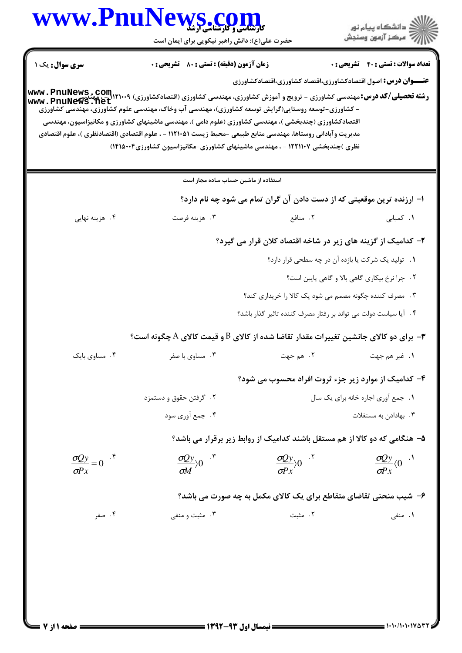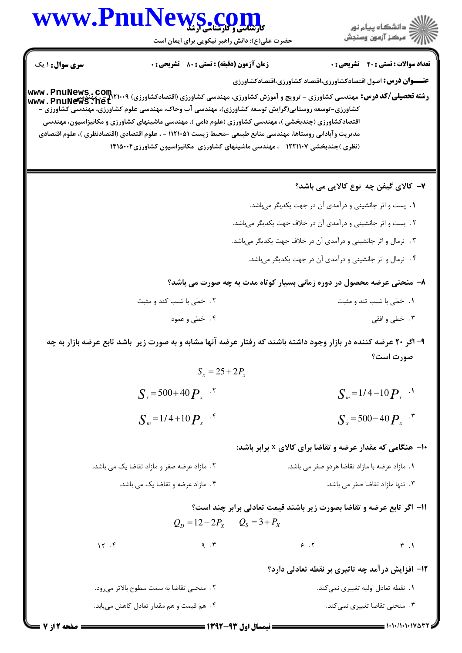## www.PnuNews.co

.<br>گ دانشگاه پیام نو**ر** ے ۔<br>ا*لادھ مرکز* آزمون وسنجش

حضرت علی(ع): دانش راهبر نیکویی برای ایمان است

**تعداد سوالات : تستی : 40 قشریحی : 0 سری سوال : ۱ یک** زمان آزمون (دقيقه) : تستى : 80 ٪ تشريحي : 0 **عنـــوان درس:** اصول اقتصادکشاورزي،اقتصاد کشاورزي،اقتصادکشاورزي **رشته تحصیلی/کد درس:** مهندسی کشاورزی - ترویج و آموزش کشاورزی، مهندسی کشاورزی (اقتصادکشاورزی) ۱۲۱۰۰۹ Mww . PnuNews<br>**دشته تحصیلی/کد درس:** مهندسی کشاورزی - ترویج و آموزش کشاورزی، مهندسی کشاورزی (اقتصادکشاورزی) ۱۲۱۰۰۹ ـــــــ www.PnuNews.net کشاورزی-توسعه روستایی(گرایش توسعه کشاورزی)، مهندسی آب وخاک، مهندسی علوم کشاورزی، مهنّدسی کشّاورزی – اقتصادکشاورزی (چندبخشی )، مهندسی کشاورزی (علوم دامی )، مهندسی ماشینهای کشاورزی و مکانیزاسیون، مهندسی مديريت وآباداني روستاها، مهندسي منابع طبيعي –محيط زيست ١١٢١٠۵١ - ، علوم اقتصادي (اقتصادنظري )، علوم اقتصادي (نظری )چندبخشی ۱۲۲۱۱۰۷ - ، مهندسی ماشینهای کشاورزی-مکانیزاسیون کشاورزی۱۴۱۵۰۰۴ ۷– کالای گیفن چه نوع کالایی می باشد؟ 1. پست و اثر جانشینی و درآمدی آن در جهت یکدیگر میباشد. ٢. پست و اثر جانشینی و درآمدی آن در خلاف جهت یکدیگر میباشد. ۰۳ نرمال و اثر جانشینی و درآمدی آن در خلاف جهت یکدیگر میباشد. ۴ . نرمال و اثر جانشینی و درآمدی آن در جهت یکدیگر می باشد. ۸- منحنی عرضه محصول در دوره زمانی بسیار کوتاه مدت به چه صورت می باشد؟ ٢. خطى با شيب كند و مثبت ٠١. خطى با شيب تند و مثبت ۴. خطی و عمود ۰۳ خطي و افقي ۹- اگر ۲۰ عرضه کننده در بازار وجود داشته باشند که رفتار عرضه آنها مشابه و به صورت زیر باشد تابع عرضه بازار به چه صورت است؟  $S_r = 25 + 2P_r$  $S_r = 500 + 40 P_x$ <sup>. Y</sup>  $S_m = 1/4 - 10 P_x$ <sup>...</sup>  $S_r = 500 - 40 P_r$ <sup>.\*</sup>  $S_{\infty} = 1/4 + 10 P_{\infty}$  . **۱۰**- هنگامی که مقدار عرضه و تقاضا برای کالای x برابر باشد: ٢. مازاد عرضه صفر و مازاد تقاضا يک مى باشد. ۰۱ مازاد عرضه با مازاد تقاضا هردو صفر می باشد. ۰۴ مازاد عرضه و تقاضا یک می باشد. ۰۳ تنها مازاد تقاضا صفر می باشد. 11- اگر تابع عرضه و تقاضا بصورت زیر باشند قیمت تعادلی برابر چند است؟  $Q_{\rm o} = 12 - 2P_{\rm x}$   $Q_{\rm s} = 3 + P_{\rm x}$  $15.5$  $9.7$  $9.7$  $\mathbf{r}$ . ۱۲– افزایش درآمد چه تاثیری بر نقطه تعادلی دارد؟ ٢ . منحنى تقاضا به سمت سطوح بالاتر مىرود. **۱.** نقطه تعادل اوليه تغييري نميكند. ۰۳ منحنی تقاضا تغییری نمیکند. ۴. هم قیمت و هم مقدار تعادل کاهش مییابد.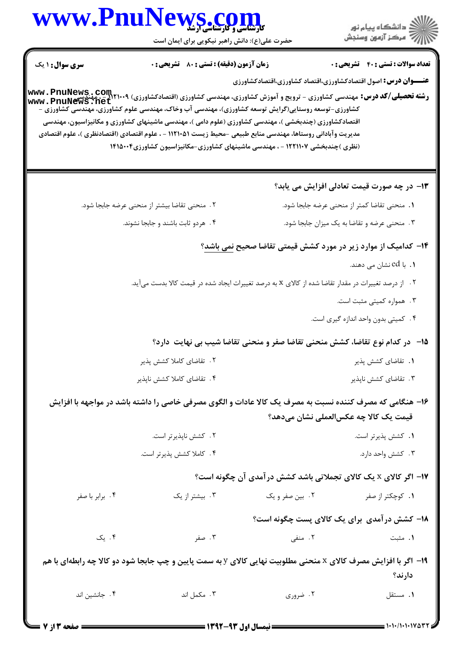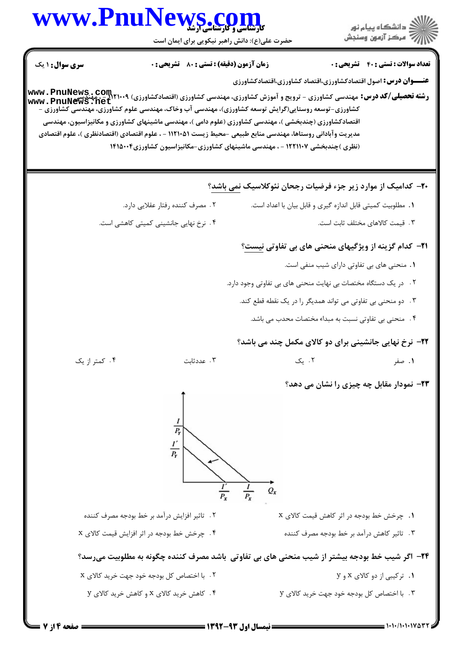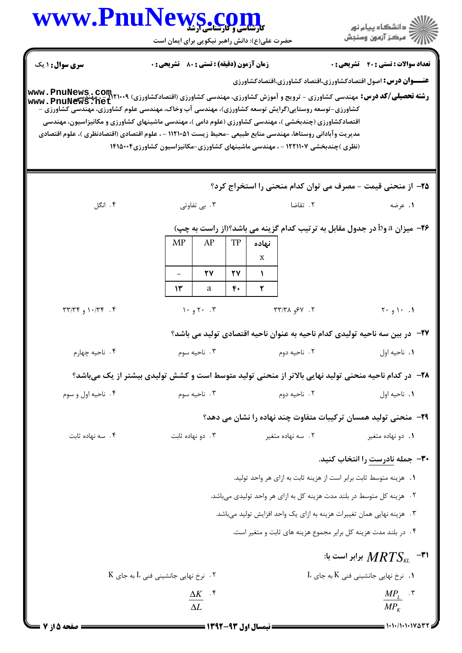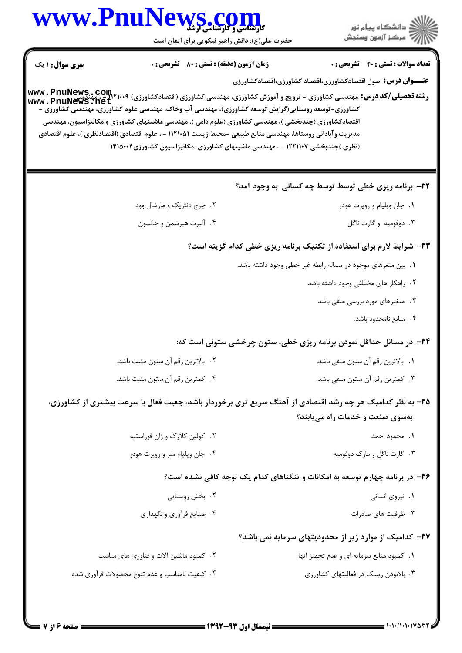